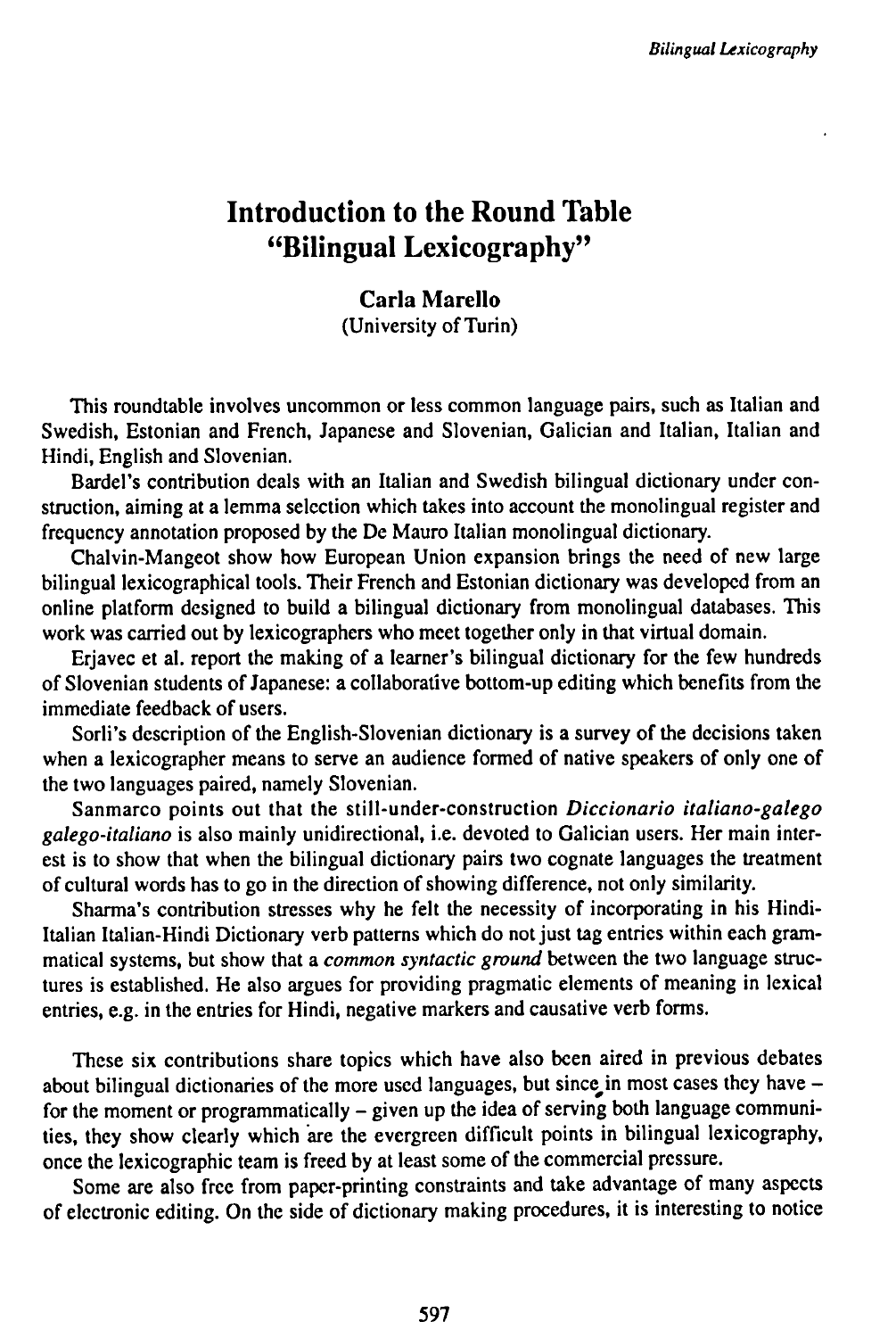## **Introduction to the Round Table "Bilingual Lexicography"**

## **Carla Marcilo**

(University of Turin)

This roundtable involves uncommon or less common language pairs, such as Italian and Swedish, Estonian and French, Japanese and Slovenian, Galician and Italian, Italian and Hindi, English and Slovenian.

Bardel's contribution deals with an Italian and Swedish bilingual dictionary under construction, aiming at a lemma selection which takes into account the monolingual register and frequency annotation proposed by the De Mauro Italian monolingual dictionary.

Chalvin-Mangeot show how European Union expansion brings the need of new large bilingual lexicographical tools. Their French and Estonian dictionary was developed from an online platform designed to build a bilingual dictionary from monolingual databases. This work was carried out by lexicographers who meet together only in that virtual domain.

Eriavec et al. report the making of a learner's bilingual dictionary for the few hundreds of Slovenian students ofJapanese: a collaborative bottom-up editing which benefits from the immediate feedback of users.

Sorli's description of the English-Slovenian dictionary is a survey of the decisions taken when a lexicographer means to serve an audience formed of native speakers of only one of the two languages paired, namely Slovenian.

Sanmarco points out that the still-under-construction *Diccionario italiano-galego galego-italiano* is also mainly unidirectional, i.e. devoted to Galician users. Her main interest is to show that when the bilingual dictionary pairs two cognate languages the treatment of cultural words has to go in the direction of showing difference, not only similarity.

Sharma's contribution stresses why he felt the necessity of incorporating in his Hindi-Italian Italian-Hindi Dictionary verb patterns which do not just tag entries within each grammatical systems, but show that a *common syntactic ground* between the two language structures is established. He also argues for providing pragmatic elements of meaning in lexical entries, e.g. in the entries for Hindi, negative markers and causative verb forms.

These six contributions share topics which have also been aired in previous debates about bilingual dictionaries of the more used languages, but since in most cases they have  $$ for the moment or programmatically  $-$  given up the idea of serving both language communities, they show clearly which are the evergreen difficult points in bilingual lexicography, once the lexicographic team is freed by at least some of the commercial pressure.

Some are also free from paper-printing constraints and take advantage of many aspects of electronic editing. On the side of dictionary making procedures, it is interesting to notice